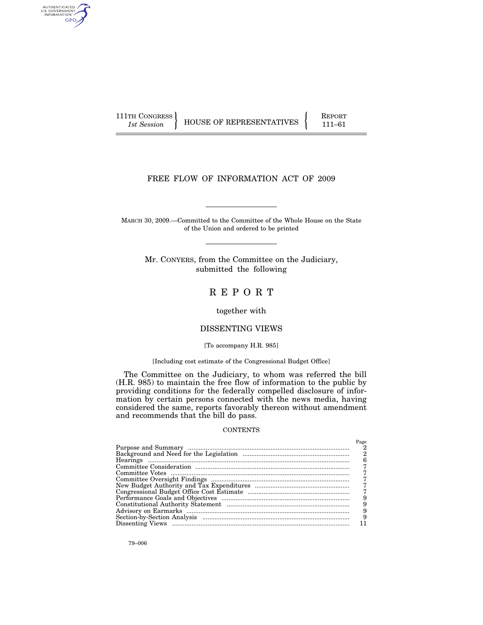AUTHENTICATED<br>U.S. GOVERNMENT<br>INFORMATION GPO

 $\left\{\begin{array}{c} \text{111TH CONGRESS} \\ \text{1st Session} \end{array}\right\}$  HOUSE OF REPRESENTATIVES  $\left\{\begin{array}{c} \text{REPORT} \\ \text{111–61} \end{array}\right\}$ 

# FREE FLOW OF INFORMATION ACT OF 2009

MARCH 30, 2009.—Committed to the Committee of the Whole House on the State of the Union and ordered to be printed

Mr. CONYERS, from the Committee on the Judiciary, submitted the following

# R E P O R T

together with

# DISSENTING VIEWS

[To accompany H.R. 985]

[Including cost estimate of the Congressional Budget Office]

The Committee on the Judiciary, to whom was referred the bill (H.R. 985) to maintain the free flow of information to the public by providing conditions for the federally compelled disclosure of information by certain persons connected with the news media, having considered the same, reports favorably thereon without amendment and recommends that the bill do pass.

### **CONTENTS**

| Page |
|------|
|      |
|      |
| 6    |
|      |
|      |
|      |
|      |
|      |
|      |
|      |
|      |
| 9    |
|      |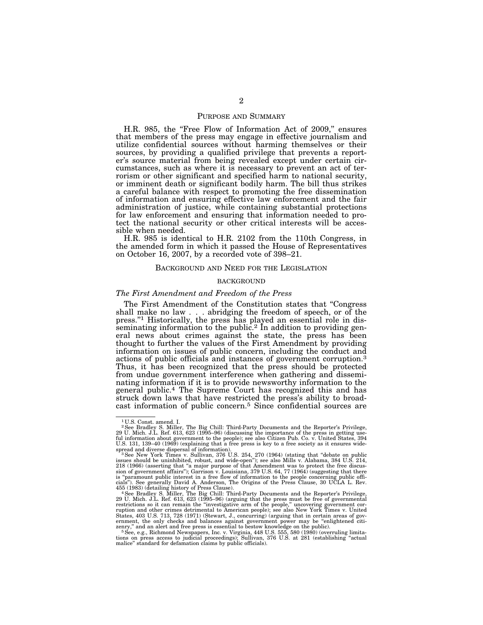# PURPOSE AND SUMMARY

H.R. 985, the "Free Flow of Information Act of 2009," ensures that members of the press may engage in effective journalism and utilize confidential sources without harming themselves or their sources, by providing a qualified privilege that prevents a reporter's source material from being revealed except under certain circumstances, such as where it is necessary to prevent an act of terrorism or other significant and specified harm to national security, or imminent death or significant bodily harm. The bill thus strikes a careful balance with respect to promoting the free dissemination of information and ensuring effective law enforcement and the fair administration of justice, while containing substantial protections for law enforcement and ensuring that information needed to protect the national security or other critical interests will be accessible when needed.

H.R. 985 is identical to H.R. 2102 from the 110th Congress, in the amended form in which it passed the House of Representatives on October 16, 2007, by a recorded vote of 398–21.

### BACKGROUND AND NEED FOR THE LEGISLATION

# BACKGROUND

#### *The First Amendment and Freedom of the Press*

The First Amendment of the Constitution states that ''Congress shall make no law . . . abridging the freedom of speech, or of the press.''1 Historically, the press has played an essential role in disseminating information to the public.<sup>2</sup> In addition to providing general news about crimes against the state, the press has been thought to further the values of the First Amendment by providing information on issues of public concern, including the conduct and actions of public officials and instances of government corruption.3 Thus, it has been recognized that the press should be protected from undue government interference when gathering and disseminating information if it is to provide newsworthy information to the general public.4 The Supreme Court has recognized this and has struck down laws that have restricted the press's ability to broadcast information of public concern.5 Since confidential sources are

<sup>1</sup> U.S. Const. amend. I.

<sup>2</sup>See Bradley S. Miller, The Big Chill: Third-Party Documents and the Reporter's Privilege, 29 U. Mich. J.L. Ref. 613, 623 (1995–96) (discussing the importance of the press in getting use-<br>ful information about government to the people); see also Citizen Pub. Co. v. United States, 394<br>U.S. 131, 139–40 (1969) (exp

spread and diverse dispersal of information).<br>- <sup>3</sup> See New York Times v. Sullivan, 376 U.S. 254, 270 (1964) (stating that "debate on public<br>issues should be uninhibited, robust, and wide-open"); see also Mills v. Alabama, 218 (1966) (asserting that "a major purpose of that Amendment was to protect the free discus-<br>sion of government affairs"); Garrison v. Louisiana, 379 U.S. 64, 77 (1964) (suggesting that there<br>is "paramount public interest

cials"). See generally David A. Anderson, The Origins of the Press Clause, 30 UCLA L. Rev.<br>455 (1983) (detailing history of Press Clause). See Bradley S. Miller, "1986 (1983) (detailing history of Press Clause).<br>4 See Brad States, 403 U.S. 713, 728 (1971) (Stewart, J., concurring) (arguing that in certain areas of gov-<br>ernment, the only checks and balances against government power may be "enlightened citi-

zenry," and an alert and free press is essential to bestow knowledge on the public). <sup>5</sup> See, e.g., Richmond Newspapers, Inc. v. Virginia, 448 U.S. 555, 580 (1980) (overruling limitations on press access to judicial procee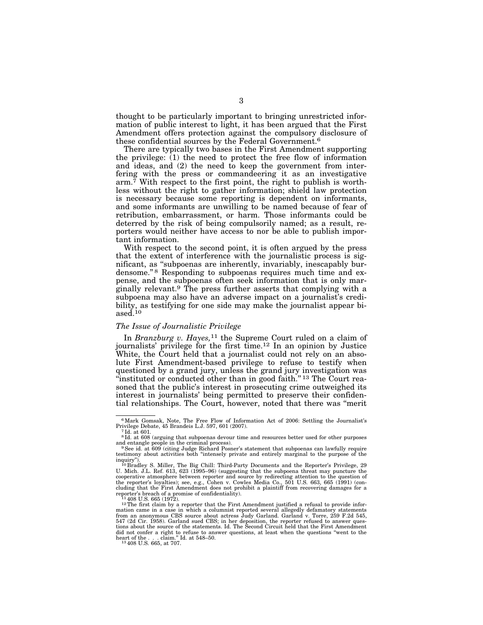thought to be particularly important to bringing unrestricted information of public interest to light, it has been argued that the First Amendment offers protection against the compulsory disclosure of these confidential sources by the Federal Government.6

There are typically two bases in the First Amendment supporting the privilege: (1) the need to protect the free flow of information and ideas, and (2) the need to keep the government from interfering with the press or commandeering it as an investigative  $arm.<sup>7</sup>$  With respect to the first point, the right to publish is worthless without the right to gather information; shield law protection is necessary because some reporting is dependent on informants, and some informants are unwilling to be named because of fear of retribution, embarrassment, or harm. Those informants could be deterred by the risk of being compulsorily named; as a result, reporters would neither have access to nor be able to publish important information.

With respect to the second point, it is often argued by the press that the extent of interference with the journalistic process is significant, as ''subpoenas are inherently, invariably, inescapably burdensome."<sup>8</sup> Responding to subpoenas requires much time and expense, and the subpoenas often seek information that is only marginally relevant.9 The press further asserts that complying with a subpoena may also have an adverse impact on a journalist's credibility, as testifying for one side may make the journalist appear biased.10

# *The Issue of Journalistic Privilege*

In *Branzburg v. Hayes,*11 the Supreme Court ruled on a claim of journalists' privilege for the first time.12 In an opinion by Justice White, the Court held that a journalist could not rely on an absolute First Amendment-based privilege to refuse to testify when questioned by a grand jury, unless the grand jury investigation was "instituted or conducted other than in good faith."<sup>13</sup> The Court reasoned that the public's interest in prosecuting crime outweighed its interest in journalists' being permitted to preserve their confidential relationships. The Court, however, noted that there was ''merit

 $^6$ Mark Gomsak, Note, The Free Flow of Information Act of 2006: Settling the Journalist's Privilege Debate, 45 Brandeis L.J. 597, 601 (2007). 7Id. at 601.

 $^7\mathrm{Id.}$  at 601.  $^8\mathrm{Id.}$  at 608 (arguing that subpoenas devour time and resources better used for other purposes and entangle people in the criminal process).<br><sup>9</sup>See id. at 609 (citing Judge Richard Posner's statement that subpoenas can lawfully require

testimony about activities both ''intensely private and entirely marginal to the purpose of the

inquiry").<br><sup>10</sup> Bradley S. Miller, The Big Chill: Third-Party Documents and the Reporter's Privilege, 29<br>U. Mich. J.L. Ref. 613, 623 (1995–96) (suggesting that the subpoena threat may puncture the<br>cooperative atmosphere be C. ninti-S.L. to: U.S. (200) Comparative atmosphere between reporter and source by redirecting attention to the question of the reporter's loyalties); see, e.g., Cohen v. Cowles Media Co., 501 U.S. 663, 665 (1991) (concluding that the First Amendment does not prohibit a plaintiff from recovering damages for a reporter's breach of a promise of confidentiality).<br> $11\,408$  U.S. 665 (1972).

 $12$  The first claim by a reporter that the First Amendment justified a refusal to provide information came in a case in which a columnist reported several allegedly defamatory statements from an anonymous CBS source about actress Judy Garland. Garland v. Torre, 259 F.2d 545,<br>547 (2d Cir. 1958). Garland sued CBS; in her deposition, the reporter refused to answer ques-<br>tions about the source of the statement did not confer a right to refuse to answer questions, at least when the questions "went to the heart of the . . . claim." Id. at 548–50.<br> $\frac{13408 \text{ U.S. 665, at 707}}{1}$ .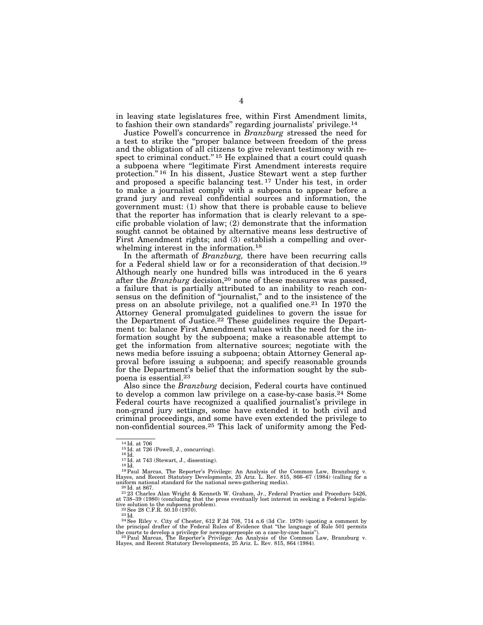in leaving state legislatures free, within First Amendment limits, to fashion their own standards'' regarding journalists' privilege.14

Justice Powell's concurrence in *Branzburg* stressed the need for a test to strike the ''proper balance between freedom of the press and the obligation of all citizens to give relevant testimony with respect to criminal conduct."<sup>15</sup> He explained that a court could quash a subpoena where ''legitimate First Amendment interests require protection.'' 16 In his dissent, Justice Stewart went a step further and proposed a specific balancing test.<sup>17</sup> Under his test, in order to make a journalist comply with a subpoena to appear before a grand jury and reveal confidential sources and information, the government must: (1) show that there is probable cause to believe that the reporter has information that is clearly relevant to a specific probable violation of law; (2) demonstrate that the information sought cannot be obtained by alternative means less destructive of First Amendment rights; and (3) establish a compelling and overwhelming interest in the information.18

In the aftermath of *Branzburg,* there have been recurring calls for a Federal shield law or for a reconsideration of that decision.19 Although nearly one hundred bills was introduced in the 6 years after the *Branzburg* decision,20 none of these measures was passed, a failure that is partially attributed to an inability to reach consensus on the definition of "journalist," and to the insistence of the press on an absolute privilege, not a qualified one.21 In 1970 the Attorney General promulgated guidelines to govern the issue for the Department of Justice.<sup>22</sup> These guidelines require the Department to: balance First Amendment values with the need for the information sought by the subpoena; make a reasonable attempt to get the information from alternative sources; negotiate with the news media before issuing a subpoena; obtain Attorney General approval before issuing a subpoena; and specify reasonable grounds for the Department's belief that the information sought by the subpoena is essential.23

Also since the *Branzburg* decision, Federal courts have continued to develop a common law privilege on a case-by-case basis.24 Some Federal courts have recognized a qualified journalist's privilege in non-grand jury settings, some have extended it to both civil and criminal proceedings, and some have even extended the privilege to non-confidential sources.<sup>25</sup> This lack of uniformity among the Fed-

<sup>14</sup>Id. at 706<br><sup>15</sup>Id. at 726 (Powell, J., concurring).<br><sup>16</sup>Id. at 743 (Stewart, J., dissenting).<br><sup>18</sup>Id.<br><sup>18</sup>Id. <sup>17</sup>Id. at 743 (Stewart, J., dissenting).<br><sup>18</sup>Id. <sup>19</sup>Iaul Marcus, The Reporter's Privilege: An Analysis of uniform national standard for the national news-gathering media). <sup>20</sup> Id. at 867. <sup>21</sup> 23 Charles Alan Wright & Kenneth W. Graham, Jr., Federal Practice and Procedure 5426,

at 738–39 (1980) (concluding that the press eventually lost interest in seeking a Federal legislative solution to the subpoena problem).<br>
<sup>22</sup> See 28 C.F.R. 50.10 (1970).<br>
<sup>22</sup> See Riley v. City of Chester, 612 F.2d 708,

<sup>&</sup>lt;sup>24</sup>See Riley v. City of Chester, 612 F.2d 708, 714 n.6 (3d Cir. 1979) (quoting a comment by the principal drafter of the Federal Rules of Evidence that "the language of Rule 501 permits

the courts to develop a privilege for newspaperpeople on a case-by-case basis").<br>- <sup>25 P</sup>aul Marcus, The Reporter's Privilege: An Analysis of the Common Law, Branzburg v.<br>Hayes, and Recent Statutory Developments, 25 Ariz.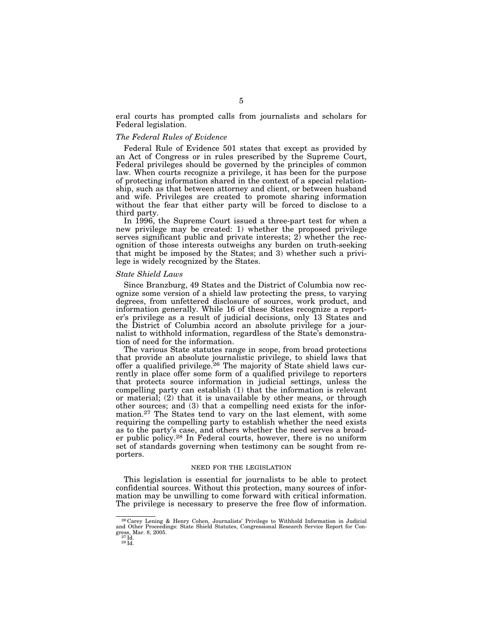eral courts has prompted calls from journalists and scholars for Federal legislation.

# *The Federal Rules of Evidence*

Federal Rule of Evidence 501 states that except as provided by an Act of Congress or in rules prescribed by the Supreme Court, Federal privileges should be governed by the principles of common law. When courts recognize a privilege, it has been for the purpose of protecting information shared in the context of a special relationship, such as that between attorney and client, or between husband and wife. Privileges are created to promote sharing information without the fear that either party will be forced to disclose to a third party.

In 1996, the Supreme Court issued a three-part test for when a new privilege may be created: 1) whether the proposed privilege serves significant public and private interests; 2) whether the recognition of those interests outweighs any burden on truth-seeking that might be imposed by the States; and 3) whether such a privilege is widely recognized by the States.

# *State Shield Laws*

Since Branzburg, 49 States and the District of Columbia now recognize some version of a shield law protecting the press, to varying degrees, from unfettered disclosure of sources, work product, and information generally. While 16 of these States recognize a reporter's privilege as a result of judicial decisions, only 13 States and the District of Columbia accord an absolute privilege for a journalist to withhold information, regardless of the State's demonstration of need for the information.

The various State statutes range in scope, from broad protections that provide an absolute journalistic privilege, to shield laws that offer a qualified privilege.26 The majority of State shield laws currently in place offer some form of a qualified privilege to reporters that protects source information in judicial settings, unless the compelling party can establish (1) that the information is relevant or material; (2) that it is unavailable by other means, or through other sources; and (3) that a compelling need exists for the information.27 The States tend to vary on the last element, with some requiring the compelling party to establish whether the need exists as to the party's case, and others whether the need serves a broader public policy.28 In Federal courts, however, there is no uniform set of standards governing when testimony can be sought from reporters.

# NEED FOR THE LEGISLATION

This legislation is essential for journalists to be able to protect confidential sources. Without this protection, many sources of information may be unwilling to come forward with critical information. The privilege is necessary to preserve the free flow of information.

<sup>26</sup> Carey Lening & Henry Cohen, Journalists' Privilege to Withhold Information in Judicial and Other Proceedings: State Shield Statutes, Congressional Research Service Report for Congress, Mar. 8, 2005.<br> $^{27}$ Id.<br> $^{28}$ Id.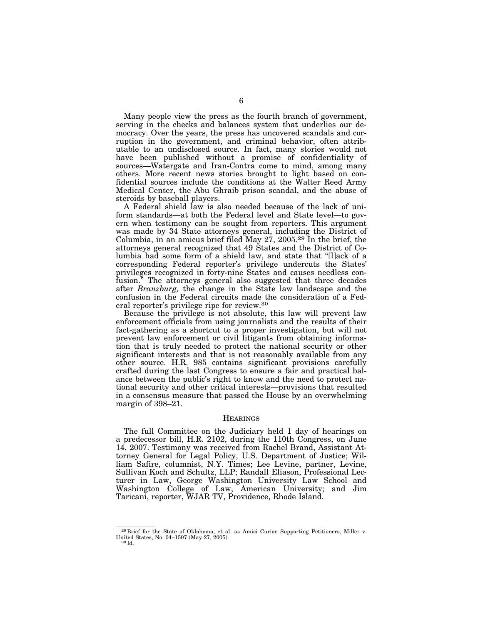Many people view the press as the fourth branch of government, serving in the checks and balances system that underlies our democracy. Over the years, the press has uncovered scandals and corruption in the government, and criminal behavior, often attributable to an undisclosed source. In fact, many stories would not have been published without a promise of confidentiality of sources—Watergate and Iran-Contra come to mind, among many others. More recent news stories brought to light based on confidential sources include the conditions at the Walter Reed Army Medical Center, the Abu Ghraib prison scandal, and the abuse of steroids by baseball players.

A Federal shield law is also needed because of the lack of uniform standards—at both the Federal level and State level—to govern when testimony can be sought from reporters. This argument was made by 34 State attorneys general, including the District of Columbia, in an amicus brief filed May 27, 2005.29 In the brief, the attorneys general recognized that 49 States and the District of Columbia had some form of a shield law, and state that ''[l]ack of a corresponding Federal reporter's privilege undercuts the States' privileges recognized in forty-nine States and causes needless confusion." The attorneys general also suggested that three decades after *Branzburg,* the change in the State law landscape and the confusion in the Federal circuits made the consideration of a Federal reporter's privilege ripe for review.30

Because the privilege is not absolute, this law will prevent law enforcement officials from using journalists and the results of their fact-gathering as a shortcut to a proper investigation, but will not prevent law enforcement or civil litigants from obtaining information that is truly needed to protect the national security or other significant interests and that is not reasonably available from any other source. H.R. 985 contains significant provisions carefully crafted during the last Congress to ensure a fair and practical balance between the public's right to know and the need to protect national security and other critical interests—provisions that resulted in a consensus measure that passed the House by an overwhelming margin of 398–21.

#### **HEARINGS**

The full Committee on the Judiciary held 1 day of hearings on a predecessor bill, H.R. 2102, during the 110th Congress, on June 14, 2007. Testimony was received from Rachel Brand, Assistant Attorney General for Legal Policy, U.S. Department of Justice; William Safire, columnist, N.Y. Times; Lee Levine, partner, Levine, Sullivan Koch and Schultz, LLP; Randall Eliason, Professional Lecturer in Law, George Washington University Law School and Washington College of Law, American University; and Jim Taricani, reporter, WJAR TV, Providence, Rhode Island.

<sup>29</sup> Brief for the State of Oklahoma, et al. as Amici Curiae Supporting Petitioners, Miller v. United States, No. 04–1507 (May 27, 2005).<br><sup>30</sup> Id.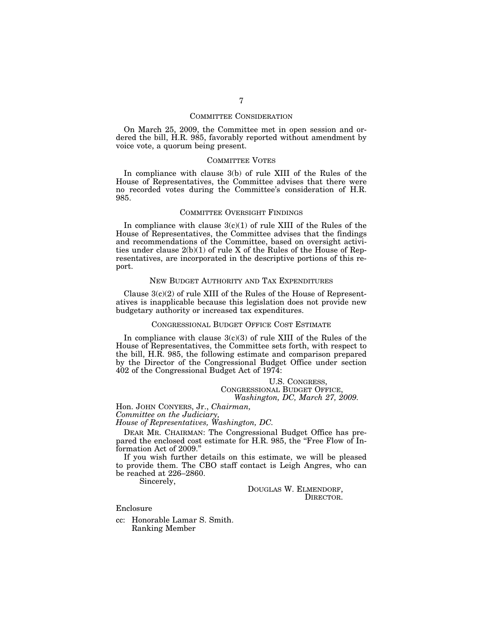# COMMITTEE CONSIDERATION

On March 25, 2009, the Committee met in open session and ordered the bill, H.R. 985, favorably reported without amendment by voice vote, a quorum being present.

# COMMITTEE VOTES

In compliance with clause 3(b) of rule XIII of the Rules of the House of Representatives, the Committee advises that there were no recorded votes during the Committee's consideration of H.R. 985.

### COMMITTEE OVERSIGHT FINDINGS

In compliance with clause  $3(c)(1)$  of rule XIII of the Rules of the House of Representatives, the Committee advises that the findings and recommendations of the Committee, based on oversight activities under clause 2(b)(1) of rule X of the Rules of the House of Representatives, are incorporated in the descriptive portions of this report.

### NEW BUDGET AUTHORITY AND TAX EXPENDITURES

Clause  $3(c)(2)$  of rule XIII of the Rules of the House of Representatives is inapplicable because this legislation does not provide new budgetary authority or increased tax expenditures.

# CONGRESSIONAL BUDGET OFFICE COST ESTIMATE

In compliance with clause  $3(c)(3)$  of rule XIII of the Rules of the House of Representatives, the Committee sets forth, with respect to the bill, H.R. 985, the following estimate and comparison prepared by the Director of the Congressional Budget Office under section 402 of the Congressional Budget Act of 1974:

> U.S. CONGRESS, CONGRESSIONAL BUDGET OFFICE, *Washington, DC, March 27, 2009.*

Hon. JOHN CONYERS, Jr., *Chairman, Committee on the Judiciary,* 

*House of Representatives, Washington, DC.* 

DEAR MR. CHAIRMAN: The Congressional Budget Office has prepared the enclosed cost estimate for H.R. 985, the "Free Flow of Information Act of 2009.''

If you wish further details on this estimate, we will be pleased to provide them. The CBO staff contact is Leigh Angres, who can be reached at 226–2860.

Sincerely,

DOUGLAS W. ELMENDORF, DIRECTOR.

Enclosure

cc: Honorable Lamar S. Smith. Ranking Member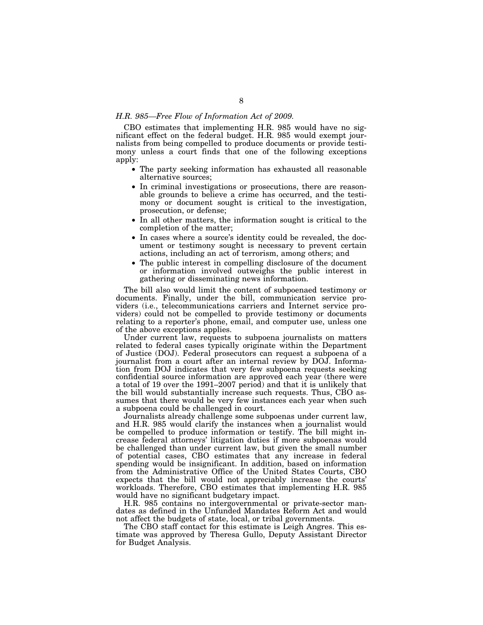# *H.R. 985—Free Flow of Information Act of 2009.*

CBO estimates that implementing H.R. 985 would have no significant effect on the federal budget. H.R. 985 would exempt journalists from being compelled to produce documents or provide testimony unless a court finds that one of the following exceptions apply:

- The party seeking information has exhausted all reasonable alternative sources;
- In criminal investigations or prosecutions, there are reasonable grounds to believe a crime has occurred, and the testimony or document sought is critical to the investigation, prosecution, or defense;
- In all other matters, the information sought is critical to the completion of the matter;
- In cases where a source's identity could be revealed, the document or testimony sought is necessary to prevent certain actions, including an act of terrorism, among others; and
- The public interest in compelling disclosure of the document or information involved outweighs the public interest in gathering or disseminating news information.

The bill also would limit the content of subpoenaed testimony or documents. Finally, under the bill, communication service providers (i.e., telecommunications carriers and Internet service providers) could not be compelled to provide testimony or documents relating to a reporter's phone, email, and computer use, unless one of the above exceptions applies.

Under current law, requests to subpoena journalists on matters related to federal cases typically originate within the Department of Justice (DOJ). Federal prosecutors can request a subpoena of a journalist from a court after an internal review by DOJ. Information from DOJ indicates that very few subpoena requests seeking confidential source information are approved each year (there were a total of 19 over the 1991–2007 period) and that it is unlikely that the bill would substantially increase such requests. Thus, CBO assumes that there would be very few instances each year when such a subpoena could be challenged in court.

Journalists already challenge some subpoenas under current law, and H.R. 985 would clarify the instances when a journalist would be compelled to produce information or testify. The bill might increase federal attorneys' litigation duties if more subpoenas would be challenged than under current law, but given the small number of potential cases, CBO estimates that any increase in federal spending would be insignificant. In addition, based on information from the Administrative Office of the United States Courts, CBO expects that the bill would not appreciably increase the courts' workloads. Therefore, CBO estimates that implementing H.R. 985 would have no significant budgetary impact.

H.R. 985 contains no intergovernmental or private-sector mandates as defined in the Unfunded Mandates Reform Act and would not affect the budgets of state, local, or tribal governments.

The CBO staff contact for this estimate is Leigh Angres. This estimate was approved by Theresa Gullo, Deputy Assistant Director for Budget Analysis.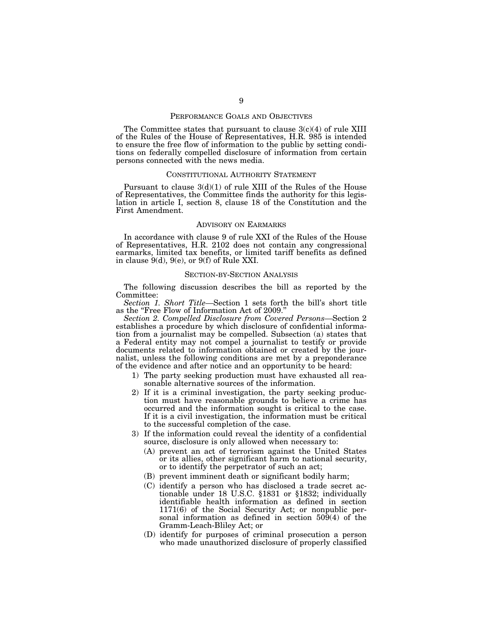# PERFORMANCE GOALS AND OBJECTIVES

The Committee states that pursuant to clause  $3(c)(4)$  of rule XIII of the Rules of the House of Representatives, H.R. 985 is intended to ensure the free flow of information to the public by setting conditions on federally compelled disclosure of information from certain persons connected with the news media.

### CONSTITUTIONAL AUTHORITY STATEMENT

Pursuant to clause 3(d)(1) of rule XIII of the Rules of the House of Representatives, the Committee finds the authority for this legislation in article I, section 8, clause 18 of the Constitution and the First Amendment.

### ADVISORY ON EARMARKS

In accordance with clause 9 of rule XXI of the Rules of the House of Representatives, H.R. 2102 does not contain any congressional earmarks, limited tax benefits, or limited tariff benefits as defined in clause 9(d), 9(e), or 9(f) of Rule XXI.

### SECTION-BY-SECTION ANALYSIS

The following discussion describes the bill as reported by the Committee:

*Section 1. Short Title—*Section 1 sets forth the bill's short title as the ''Free Flow of Information Act of 2009.''

*Section 2. Compelled Disclosure from Covered Persons—*Section 2 establishes a procedure by which disclosure of confidential information from a journalist may be compelled. Subsection (a) states that a Federal entity may not compel a journalist to testify or provide documents related to information obtained or created by the journalist, unless the following conditions are met by a preponderance of the evidence and after notice and an opportunity to be heard:

- 1) The party seeking production must have exhausted all reasonable alternative sources of the information.
- 2) If it is a criminal investigation, the party seeking production must have reasonable grounds to believe a crime has occurred and the information sought is critical to the case. If it is a civil investigation, the information must be critical to the successful completion of the case.
- 3) If the information could reveal the identity of a confidential source, disclosure is only allowed when necessary to:
	- (A) prevent an act of terrorism against the United States or its allies, other significant harm to national security, or to identify the perpetrator of such an act;
	- (B) prevent imminent death or significant bodily harm;
	- (C) identify a person who has disclosed a trade secret actionable under 18 U.S.C. §1831 or §1832; individually identifiable health information as defined in section 1171(6) of the Social Security Act; or nonpublic personal information as defined in section 509(4) of the Gramm-Leach-Bliley Act; or
	- (D) identify for purposes of criminal prosecution a person who made unauthorized disclosure of properly classified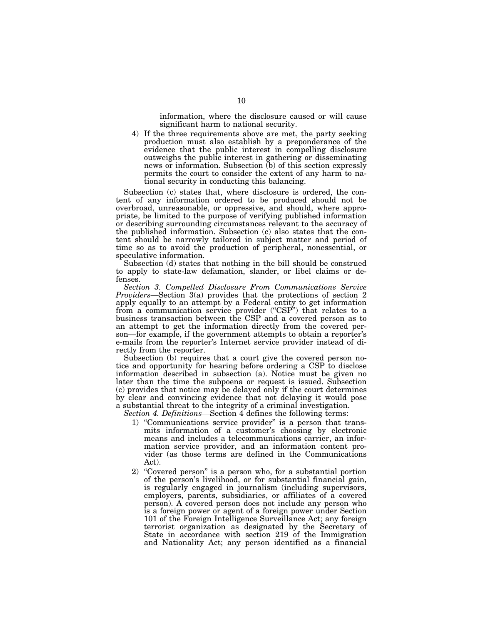information, where the disclosure caused or will cause significant harm to national security.

4) If the three requirements above are met, the party seeking production must also establish by a preponderance of the evidence that the public interest in compelling disclosure outweighs the public interest in gathering or disseminating news or information. Subsection (b) of this section expressly permits the court to consider the extent of any harm to national security in conducting this balancing.

Subsection (c) states that, where disclosure is ordered, the content of any information ordered to be produced should not be overbroad, unreasonable, or oppressive, and should, where appropriate, be limited to the purpose of verifying published information or describing surrounding circumstances relevant to the accuracy of the published information. Subsection (c) also states that the content should be narrowly tailored in subject matter and period of time so as to avoid the production of peripheral, nonessential, or speculative information.

Subsection (d) states that nothing in the bill should be construed to apply to state-law defamation, slander, or libel claims or defenses.

*Section 3. Compelled Disclosure From Communications Service Providers—*Section 3(a) provides that the protections of section 2 apply equally to an attempt by a Federal entity to get information from a communication service provider ("CSP") that relates to a business transaction between the CSP and a covered person as to an attempt to get the information directly from the covered person—for example, if the government attempts to obtain a reporter's e-mails from the reporter's Internet service provider instead of directly from the reporter.

Subsection (b) requires that a court give the covered person notice and opportunity for hearing before ordering a CSP to disclose information described in subsection (a). Notice must be given no later than the time the subpoena or request is issued. Subsection (c) provides that notice may be delayed only if the court determines by clear and convincing evidence that not delaying it would pose a substantial threat to the integrity of a criminal investigation.

*Section 4. Definitions—*Section 4 defines the following terms:

- 1) ''Communications service provider'' is a person that transmits information of a customer's choosing by electronic means and includes a telecommunications carrier, an information service provider, and an information content provider (as those terms are defined in the Communications Act).
- 2) ''Covered person'' is a person who, for a substantial portion of the person's livelihood, or for substantial financial gain, is regularly engaged in journalism (including supervisors, employers, parents, subsidiaries, or affiliates of a covered person). A covered person does not include any person who is a foreign power or agent of a foreign power under Section 101 of the Foreign Intelligence Surveillance Act; any foreign terrorist organization as designated by the Secretary of State in accordance with section 219 of the Immigration and Nationality Act; any person identified as a financial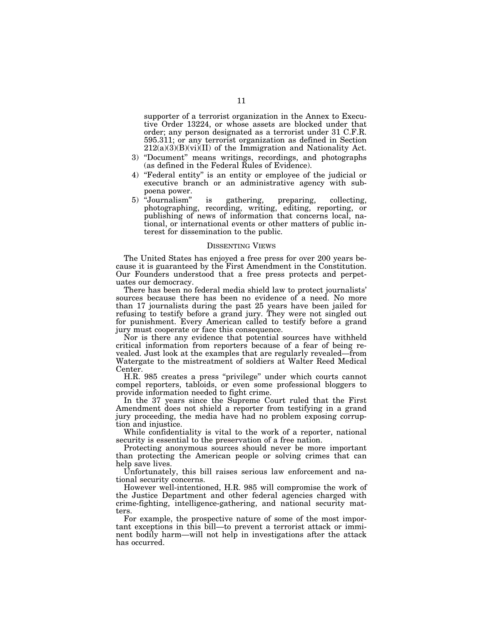supporter of a terrorist organization in the Annex to Executive Order 13224, or whose assets are blocked under that order; any person designated as a terrorist under 31 C.F.R. 595.311; or any terrorist organization as defined in Section  $212(a)(3)(B)(vi)(II)$  of the Immigration and Nationality Act.

- 3) ''Document'' means writings, recordings, and photographs (as defined in the Federal Rules of Evidence).
- 4) ''Federal entity'' is an entity or employee of the judicial or executive branch or an administrative agency with subpoena power.
- 5) "Journalism" is gathering, preparing, collecting, photographing, recording, writing, editing, reporting, or publishing of news of information that concerns local, national, or international events or other matters of public interest for dissemination to the public.

#### DISSENTING VIEWS

The United States has enjoyed a free press for over 200 years because it is guaranteed by the First Amendment in the Constitution. Our Founders understood that a free press protects and perpetuates our democracy.

There has been no federal media shield law to protect journalists' sources because there has been no evidence of a need. No more than 17 journalists during the past 25 years have been jailed for refusing to testify before a grand jury. They were not singled out for punishment. Every American called to testify before a grand jury must cooperate or face this consequence.

Nor is there any evidence that potential sources have withheld critical information from reporters because of a fear of being revealed. Just look at the examples that are regularly revealed—from Watergate to the mistreatment of soldiers at Walter Reed Medical Center.

H.R. 985 creates a press ''privilege'' under which courts cannot compel reporters, tabloids, or even some professional bloggers to provide information needed to fight crime.

In the 37 years since the Supreme Court ruled that the First Amendment does not shield a reporter from testifying in a grand jury proceeding, the media have had no problem exposing corruption and injustice.

While confidentiality is vital to the work of a reporter, national security is essential to the preservation of a free nation.

Protecting anonymous sources should never be more important than protecting the American people or solving crimes that can help save lives.

Unfortunately, this bill raises serious law enforcement and national security concerns.

However well-intentioned, H.R. 985 will compromise the work of the Justice Department and other federal agencies charged with crime-fighting, intelligence-gathering, and national security matters.

For example, the prospective nature of some of the most important exceptions in this bill—to prevent a terrorist attack or imminent bodily harm—will not help in investigations after the attack has occurred.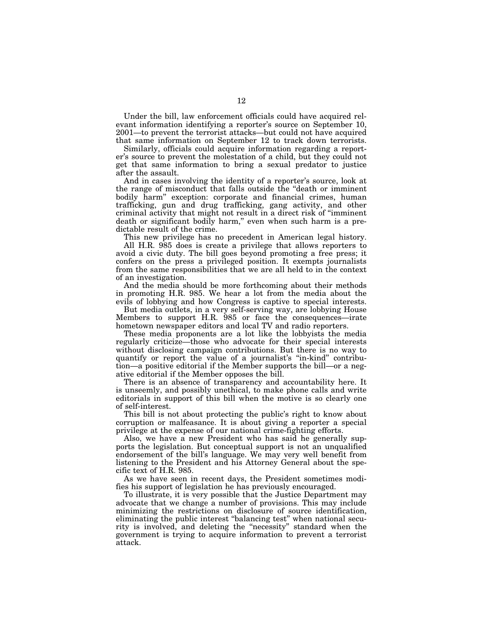Under the bill, law enforcement officials could have acquired relevant information identifying a reporter's source on September 10, 2001—to prevent the terrorist attacks—but could not have acquired that same information on September 12 to track down terrorists.

Similarly, officials could acquire information regarding a reporter's source to prevent the molestation of a child, but they could not get that same information to bring a sexual predator to justice after the assault.

And in cases involving the identity of a reporter's source, look at the range of misconduct that falls outside the ''death or imminent bodily harm'' exception: corporate and financial crimes, human trafficking, gun and drug trafficking, gang activity, and other criminal activity that might not result in a direct risk of ''imminent death or significant bodily harm," even when such harm is a predictable result of the crime.

This new privilege has no precedent in American legal history. All H.R. 985 does is create a privilege that allows reporters to

avoid a civic duty. The bill goes beyond promoting a free press; it confers on the press a privileged position. It exempts journalists from the same responsibilities that we are all held to in the context of an investigation.

And the media should be more forthcoming about their methods in promoting H.R. 985. We hear a lot from the media about the evils of lobbying and how Congress is captive to special interests.

But media outlets, in a very self-serving way, are lobbying House Members to support H.R. 985 or face the consequences—irate hometown newspaper editors and local TV and radio reporters.

These media proponents are a lot like the lobbyists the media regularly criticize—those who advocate for their special interests without disclosing campaign contributions. But there is no way to quantify or report the value of a journalist's ''in-kind'' contribution—a positive editorial if the Member supports the bill—or a negative editorial if the Member opposes the bill.

There is an absence of transparency and accountability here. It is unseemly, and possibly unethical, to make phone calls and write editorials in support of this bill when the motive is so clearly one of self-interest.

This bill is not about protecting the public's right to know about corruption or malfeasance. It is about giving a reporter a special privilege at the expense of our national crime-fighting efforts.

Also, we have a new President who has said he generally supports the legislation. But conceptual support is not an unqualified endorsement of the bill's language. We may very well benefit from listening to the President and his Attorney General about the specific text of H.R. 985.

As we have seen in recent days, the President sometimes modifies his support of legislation he has previously encouraged.

To illustrate, it is very possible that the Justice Department may advocate that we change a number of provisions. This may include minimizing the restrictions on disclosure of source identification, eliminating the public interest ''balancing test'' when national security is involved, and deleting the ''necessity'' standard when the government is trying to acquire information to prevent a terrorist attack.